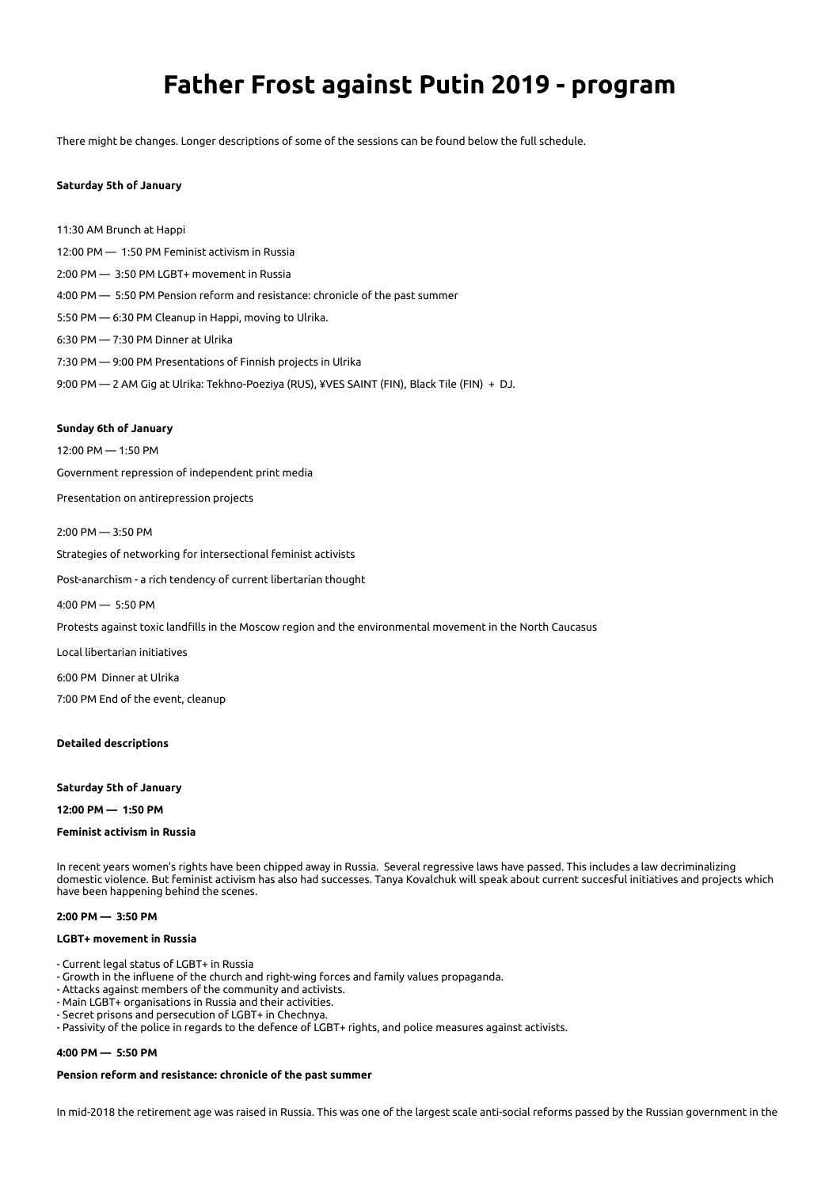# **Father Frost against Putin 2019 - program**

There might be changes. Longer descriptions of some of the sessions can be found below the full schedule.

# **Saturday 5th of January**

11:30 AM Brunch at Happi 12:00 PM — 1:50 PM Feminist activism in Russia 2:00 PM — 3:50 PM LGBT+ movement in Russia 4:00 PM — 5:50 PM Pension reform and resistance: chronicle of the past summer 5:50 PM — 6:30 PM Cleanup in Happi, moving to Ulrika. 6:30 PM — 7:30 PM Dinner at Ulrika 7:30 PM — 9:00 PM Presentations of Finnish projects in Ulrika 9:00 PM — 2 AM Gig at Ulrika: Tekhno-Poeziya (RUS), ¥VES SAINT (FIN), Black Tile (FIN) + DJ.

#### **Sunday 6th of January**

12:00 PM — 1:50 PM

Government repression of independent print media

- Presentation on antirepression projects
- 2:00 PM 3:50 PM Strategies of networking for intersectional feminist activists

Post-anarchism - a rich tendency of current libertarian thought

4:00 PM — 5:50 PM

Protests against toxic landfills in the Moscow region and the environmental movement in the North Caucasus

Local libertarian initiatives

6:00 PM Dinner at Ulrika

7:00 PM End of the event, cleanup

#### **Detailed descriptions**

**Saturday 5th of January** 

**12:00 PM — 1:50 PM** 

### **Feminist activism in Russia**

In recent years women's rights have been chipped away in Russia. Several regressive laws have passed. This includes a law decriminalizing domestic violence. But feminist activism has also had successes. Tanya Kovalchuk will speak about current succesful initiatives and projects which have been happening behind the scenes.

#### **2:00 PM — 3:50 PM**

# **LGBT+ movement in Russia**

- Current legal status of LGBT+ in Russia
- Growth in the influene of the church and right-wing forces and family values propaganda.
- Attacks against members of the community and activists.
- Main LGBT+ organisations in Russia and their activities.
- Secret prisons and persecution of LGBT+ in Chechnya.
- Passivity of the police in regards to the defence of LGBT+ rights, and police measures against activists.

# **4:00 PM — 5:50 PM**

# **Pension reform and resistance: chronicle of the past summer**

In mid-2018 the retirement age was raised in Russia. This was one of the largest scale anti-social reforms passed by the Russian government in the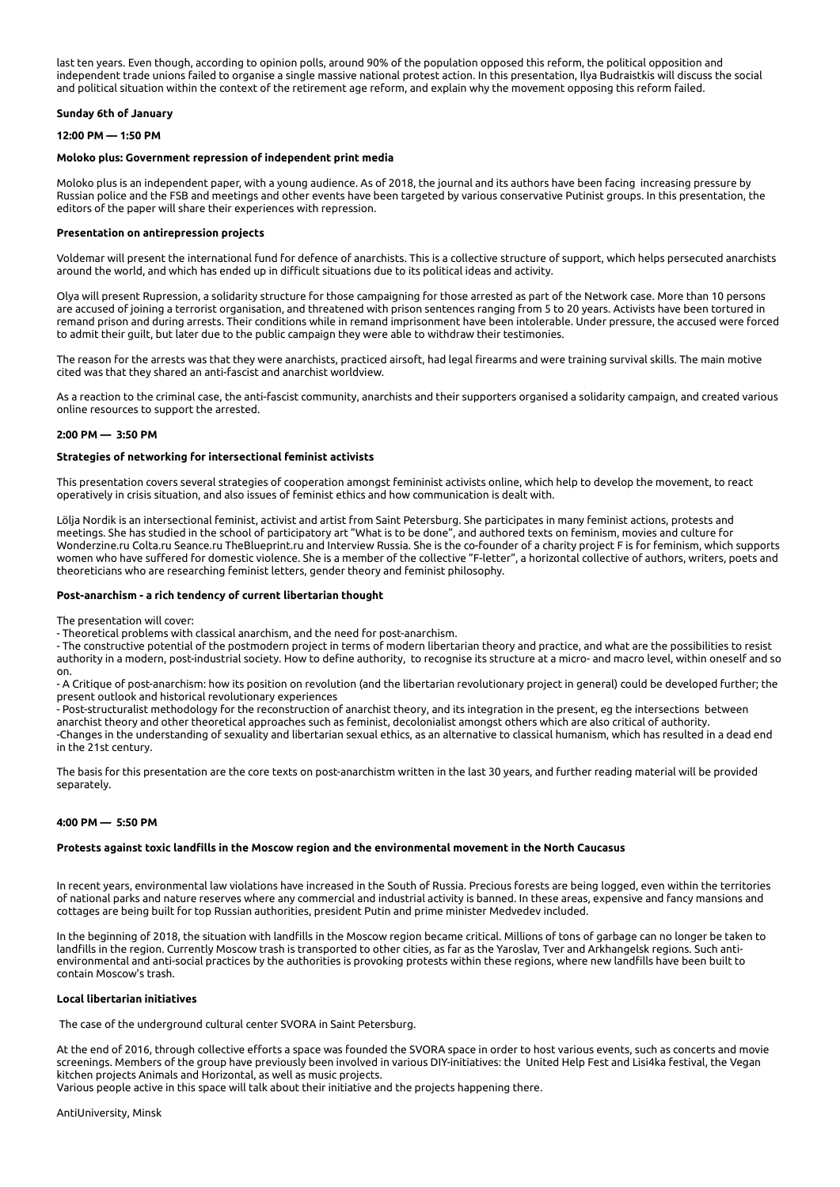last ten years. Even though, according to opinion polls, around 90% of the population opposed this reform, the political opposition and independent trade unions failed to organise a single massive national protest action. In this presentation, Ilya Budraistkis will discuss the social and political situation within the context of the retirement age reform, and explain why the movement opposing this reform failed.

# **Sunday 6th of January**

# **12:00 PM — 1:50 PM**

# **Moloko plus: Government repression of independent print media**

Moloko plus is an independent paper, with a young audience. As of 2018, the journal and its authors have been facing increasing pressure by Russian police and the FSB and meetings and other events have been targeted by various conservative Putinist groups. In this presentation, the editors of the paper will share their experiences with repression.

# **Presentation on antirepression projects**

Voldemar will present the international fund for defence of anarchists. This is a collective structure of support, which helps persecuted anarchists around the world, and which has ended up in difficult situations due to its political ideas and activity.

Olya will present Rupression, a solidarity structure for those campaigning for those arrested as part of the Network case. More than 10 persons are accused of joining a terrorist organisation, and threatened with prison sentences ranging from 5 to 20 years. Activists have been tortured in remand prison and during arrests. Their conditions while in remand imprisonment have been intolerable. Under pressure, the accused were forced to admit their guilt, but later due to the public campaign they were able to withdraw their testimonies.

The reason for the arrests was that they were anarchists, practiced airsoft, had legal firearms and were training survival skills. The main motive cited was that they shared an anti-fascist and anarchist worldview.

As a reaction to the criminal case, the anti-fascist community, anarchists and their supporters organised a solidarity campaign, and created various online resources to support the arrested.

### **2:00 PM — 3:50 PM**

### **Strategies of networking for intersectional feminist activists**

This presentation covers several strategies of cooperation amongst femininist activists online, which help to develop the movement, to react operatively in crisis situation, and also issues of feminist ethics and how communication is dealt with.

Lölja Nordik is an intersectional feminist, activist and artist from Saint Petersburg. She participates in many feminist actions, protests and meetings. She has studied in the school of participatory art "What is to be done", and authored texts on feminism, movies and culture for Wonderzine.ru Colta.ru Seance.ru TheBlueprint.ru and Interview Russia. She is the co-founder of a charity project F is for feminism, which supports women who have suffered for domestic violence. She is a member of the collective "F-letter", a horizontal collective of authors, writers, poets and theoreticians who are researching feminist letters, gender theory and feminist philosophy.

# **Post-anarchism - a rich tendency of current libertarian thought**

The presentation will cover:

- Theoretical problems with classical anarchism, and the need for post-anarchism.

- The constructive potential of the postmodern project in terms of modern libertarian theory and practice, and what are the possibilities to resist authority in a modern, post-industrial society. How to define authority, to recognise its structure at a micro- and macro level, within oneself and so on.

- A Critique of post-anarchism: how its position on revolution (and the libertarian revolutionary project in general) could be developed further; the present outlook and historical revolutionary experiences

- Post-structuralist methodology for the reconstruction of anarchist theory, and its integration in the present, eg the intersections between anarchist theory and other theoretical approaches such as feminist, decolonialist amongst others which are also critical of authority. -Changes in the understanding of sexuality and libertarian sexual ethics, as an alternative to classical humanism, which has resulted in a dead end in the 21st century.

The basis for this presentation are the core texts on post-anarchistm written in the last 30 years, and further reading material will be provided separately.

### **4:00 PM — 5:50 PM**

### **Protests against toxic landfills in the Moscow region and the environmental movement in the North Caucasus**

In recent years, environmental law violations have increased in the South of Russia. Precious forests are being logged, even within the territories of national parks and nature reserves where any commercial and industrial activity is banned. In these areas, expensive and fancy mansions and cottages are being built for top Russian authorities, president Putin and prime minister Medvedev included.

In the beginning of 2018, the situation with landfills in the Moscow region became critical. Millions of tons of garbage can no longer be taken to landfills in the region. Currently Moscow trash is transported to other cities, as far as the Yaroslav, Tver and Arkhangelsk regions. Such antienvironmental and anti-social practices by the authorities is provoking protests within these regions, where new landfills have been built to contain Moscow's trash.

# **Local libertarian initiatives**

The case of the underground cultural center SVORA in Saint Petersburg.

At the end of 2016, through collective efforts a space was founded the SVORA space in order to host various events, such as concerts and movie screenings. Members of the group have previously been involved in various DIY-initiatives: the United Help Fest and Lisi4ka festival, the Vegan kitchen projects Animals and Horizontal, as well as music projects. Various people active in this space will talk about their initiative and the projects happening there.

AntiUniversity, Minsk